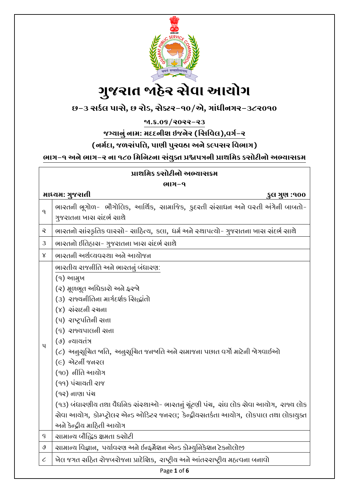

**છ-૩ સર્કલ પાસે, છ રોડ, સેક્ટર-૧૦/એ, ગાાંધીનગર-૩૮૨૦૧૦**

**જા.ક્ર.૦૬/૨૦૨૨-૨૩**

**જગ્યાનુાં નામ: મદદનીશ ઇજનેર (સસસવલ),વગક-૨**

**(નમકદા, જળસાંપસિ, પાણી પુરવઠા અને ર્લ્પસર સવભાગ)**

ભાગ-૧ અને ભાગ-૨ ના ૧૮૦ મિનિટના સંયુક્ત પ્રશ્નપત્રની પ્રાથમિક કસોટીનો અભ્યાસક્રમ

| પ્રાથમિક કસોટીનો અભ્યાસક્રમ     |                                                                                                           |  |
|---------------------------------|-----------------------------------------------------------------------------------------------------------|--|
| ભાગ-૧                           |                                                                                                           |  |
| માધ્યમ: ગુજરાતી<br>કુલ ગુણ :૧૦૦ |                                                                                                           |  |
| $\mathsf{q}$                    | ભારતની ભૂગોળ- ભૌગોલિક, આર્થિક, સામાજિક, કુદરતી સંસાધન અને વસ્તી અંગેની બાબતો-<br>ગુજરાતના ખાસ સંદર્ભ સાથે |  |
| Q                               | ભારતનો સાંસ્કૃતિક વારસો- સાહિત્ય, કલા, ધર્મ અને સ્થાપત્યો- ગુજરાતના ખાસ સંદર્ભ સાથે                       |  |
| 3                               | ભારતનો ઈતિહાસ- ગુજરાતના ખાસ સંદર્ભ સાથે                                                                   |  |
| $\mathsf{X}$                    | ભારતની અર્થવ્યવસ્થા અને આચોજન                                                                             |  |
|                                 | ભારતીય રાજનીતિ અને ભારતનું બંધારણ:                                                                        |  |
|                                 | (૧) આમુખ                                                                                                  |  |
|                                 | (૨) મૂળભૂત અધિકારો અને ફરજો                                                                               |  |
|                                 | (3) રાજ્યનીતિના માર્ગદર્શક ચિદ્ધાંતો                                                                      |  |
|                                 | $(y)$ સંસ $\epsilon$ ની રચના                                                                              |  |
|                                 | (५) राष्ट्रपतिली सत्ता                                                                                    |  |
| $\mathbf{u}$                    | (९) राજ्યપાલની સત્તા                                                                                      |  |
|                                 | (७) ન્યાયતંત્ર                                                                                            |  |
|                                 | (૮) અનુસૂચિત બતિ, અનુસૂચિત જનબતિ અને સમાજના પછાત વર્ગો માટેની બેગવાઈઓ                                     |  |
|                                 | $(e)$ એટર્ની જનરલ                                                                                         |  |
|                                 | (90) નીતિ આયોગ                                                                                            |  |
|                                 | (૧૧) પંચાયતી રાજ                                                                                          |  |
|                                 | (૧૨) નાણા પંચ                                                                                             |  |
|                                 | (૧૩) બંધારણીય તથા વૈધજિક સંસ્થાઓ- ભારતનું ચૂંટણી પંચ, સંઘ લોક સેવા આયોગ, રાજ્ય લોક                        |  |
|                                 | સેવા આયોગ, કોમ્પ્ટ્રોલર એન્ડ ઓડિટર જનરલ; કેન્દ્રીયસતર્કતા આયોગ, લોકપાલ તથા લોકાયુક્ત                      |  |
|                                 | અને કેન્દ્રીય માઠિતી આચોગ                                                                                 |  |
| $\varsigma$                     | ચામાન્ય બૌદ્ધિક ક્ષમતા કઓટી                                                                               |  |
| $\mathsf{Q}$                    | ચામાન્ય વિજ્ઞાન, પર્યાવરણ અને ઈન્ફર્મેશન એન્ડ કોમ્યુનિકેશન ટેકનોલોજી                                      |  |
| $\mathcal C$                    | ખેલ જગત સહિત રોજબરોજના પ્રાદેશિક,  રાષ્ટ્રીય અને આંતરરાષ્ટ્રીય મહત્વના બનાવો                              |  |

Page **1** of **6**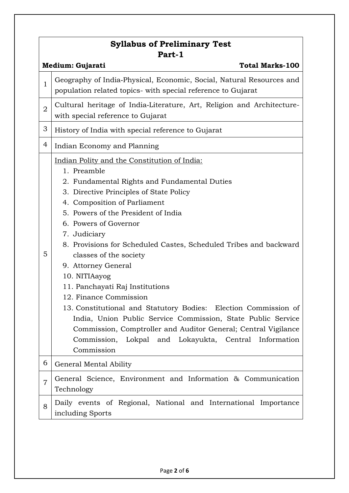| <b>Syllabus of Preliminary Test</b><br>Part-1 |                                                                                                                                                                                                                                                                                                                                                                                                                                                                                                                                                                                                                                                                                                                                                        |  |
|-----------------------------------------------|--------------------------------------------------------------------------------------------------------------------------------------------------------------------------------------------------------------------------------------------------------------------------------------------------------------------------------------------------------------------------------------------------------------------------------------------------------------------------------------------------------------------------------------------------------------------------------------------------------------------------------------------------------------------------------------------------------------------------------------------------------|--|
| <b>Total Marks-100</b><br>Medium: Gujarati    |                                                                                                                                                                                                                                                                                                                                                                                                                                                                                                                                                                                                                                                                                                                                                        |  |
| $\mathbf{1}$                                  | Geography of India-Physical, Economic, Social, Natural Resources and<br>population related topics- with special reference to Gujarat                                                                                                                                                                                                                                                                                                                                                                                                                                                                                                                                                                                                                   |  |
| $\overline{2}$                                | Cultural heritage of India-Literature, Art, Religion and Architecture-<br>with special reference to Gujarat                                                                                                                                                                                                                                                                                                                                                                                                                                                                                                                                                                                                                                            |  |
| 3                                             | History of India with special reference to Gujarat                                                                                                                                                                                                                                                                                                                                                                                                                                                                                                                                                                                                                                                                                                     |  |
| 4                                             | Indian Economy and Planning                                                                                                                                                                                                                                                                                                                                                                                                                                                                                                                                                                                                                                                                                                                            |  |
| 5                                             | Indian Polity and the Constitution of India:<br>1. Preamble<br>2. Fundamental Rights and Fundamental Duties<br>3. Directive Principles of State Policy<br>4. Composition of Parliament<br>5. Powers of the President of India<br>6. Powers of Governor<br>7. Judiciary<br>8. Provisions for Scheduled Castes, Scheduled Tribes and backward<br>classes of the society<br>9. Attorney General<br>10. NITIAayog<br>11. Panchayati Raj Institutions<br>12. Finance Commission<br>13. Constitutional and Statutory Bodies: Election Commission of<br>India, Union Public Service Commission, State Public Service<br>Commission, Comptroller and Auditor General; Central Vigilance<br>Commission, Lokpal and Lokayukta, Central Information<br>Commission |  |
| 6                                             | General Mental Ability                                                                                                                                                                                                                                                                                                                                                                                                                                                                                                                                                                                                                                                                                                                                 |  |
| $\overline{7}$                                | General Science, Environment and Information & Communication<br>Technology                                                                                                                                                                                                                                                                                                                                                                                                                                                                                                                                                                                                                                                                             |  |
| 8                                             | Daily events of Regional, National and International Importance<br>including Sports                                                                                                                                                                                                                                                                                                                                                                                                                                                                                                                                                                                                                                                                    |  |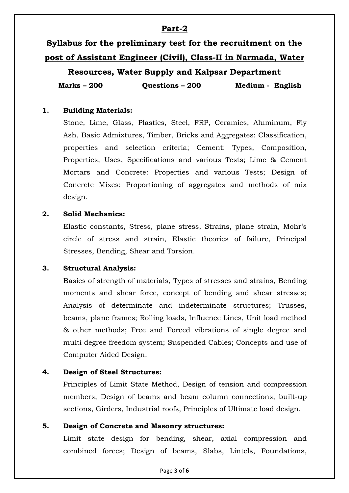# **Part-2**

# **Syllabus for the preliminary test for the recruitment on the post of Assistant Engineer (Civil), Class-II in Narmada, Water**

**Resources, Water Supply and Kalpsar Department**

**Marks – 200 Questions – 200 Medium - English**

# **1. Building Materials:**

Stone, Lime, Glass, Plastics, Steel, FRP, Ceramics, Aluminum, Fly Ash, Basic Admixtures, Timber, Bricks and Aggregates: Classification, properties and selection criteria; Cement: Types, Composition, Properties, Uses, Specifications and various Tests; Lime & Cement Mortars and Concrete: Properties and various Tests; Design of Concrete Mixes: Proportioning of aggregates and methods of mix design.

#### **2. Solid Mechanics:**

Elastic constants, Stress, plane stress, Strains, plane strain, Mohr's circle of stress and strain, Elastic theories of failure, Principal Stresses, Bending, Shear and Torsion.

#### **3. Structural Analysis:**

Basics of strength of materials, Types of stresses and strains, Bending moments and shear force, concept of bending and shear stresses; Analysis of determinate and indeterminate structures; Trusses, beams, plane frames; Rolling loads, Influence Lines, Unit load method & other methods; Free and Forced vibrations of single degree and multi degree freedom system; Suspended Cables; Concepts and use of Computer Aided Design.

# **4. Design of Steel Structures:**

Principles of Limit State Method, Design of tension and compression members, Design of beams and beam column connections, built-up sections, Girders, Industrial roofs, Principles of Ultimate load design.

#### **5. Design of Concrete and Masonry structures:**

Limit state design for bending, shear, axial compression and combined forces; Design of beams, Slabs, Lintels, Foundations,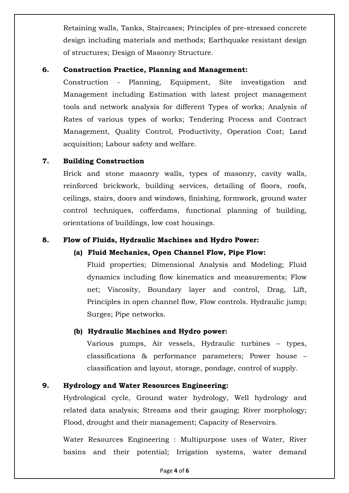Retaining walls, Tanks, Staircases; Principles of pre-stressed concrete design including materials and methods; Earthquake resistant design of structures; Design of Masonry Structure.

#### **6. Construction Practice, Planning and Management:**

Construction - Planning, Equipment, Site investigation and Management including Estimation with latest project management tools and network analysis for different Types of works; Analysis of Rates of various types of works; Tendering Process and Contract Management, Quality Control, Productivity, Operation Cost; Land acquisition; Labour safety and welfare.

# **7. Building Construction**

Brick and stone masonry walls, types of masonry, cavity walls, reinforced brickwork, building services, detailing of floors, roofs, ceilings, stairs, doors and windows, finishing, formwork, ground water control techniques, cofferdams, functional planning of building, orientations of buildings, low cost housings.

# **8. Flow of Fluids, Hydraulic Machines and Hydro Power:**

# **(a) Fluid Mechanics, Open Channel Flow, Pipe Flow:**

Fluid properties; Dimensional Analysis and Modeling; Fluid dynamics including flow kinematics and measurements; Flow net; Viscosity, Boundary layer and control, Drag, Lift, Principles in open channel flow, Flow controls. Hydraulic jump; Surges; Pipe networks.

# **(b) Hydraulic Machines and Hydro power:**

Various pumps, Air vessels, Hydraulic turbines – types, classifications & performance parameters; Power house – classification and layout, storage, pondage, control of supply.

# **9. Hydrology and Water Resources Engineering:**

Hydrological cycle, Ground water hydrology, Well hydrology and related data analysis; Streams and their gauging; River morphology; Flood, drought and their management; Capacity of Reservoirs.

Water Resources Engineering : Multipurpose uses of Water, River basins and their potential; Irrigation systems, water demand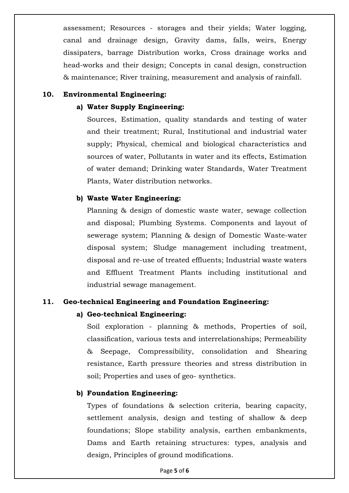assessment; Resources - storages and their yields; Water logging, canal and drainage design, Gravity dams, falls, weirs, Energy dissipaters, barrage Distribution works, Cross drainage works and head-works and their design; Concepts in canal design, construction & maintenance; River training, measurement and analysis of rainfall.

#### **10. Environmental Engineering:**

#### **a) Water Supply Engineering:**

Sources, Estimation, quality standards and testing of water and their treatment; Rural, Institutional and industrial water supply; Physical, chemical and biological characteristics and sources of water, Pollutants in water and its effects, Estimation of water demand; Drinking water Standards, Water Treatment Plants, Water distribution networks.

#### **b) Waste Water Engineering:**

Planning & design of domestic waste water, sewage collection and disposal; Plumbing Systems. Components and layout of sewerage system; Planning & design of Domestic Waste-water disposal system; Sludge management including treatment, disposal and re-use of treated effluents; Industrial waste waters and Effluent Treatment Plants including institutional and industrial sewage management.

#### **11. Geo-technical Engineering and Foundation Engineering:**

#### **a) Geo-technical Engineering:**

Soil exploration - planning & methods, Properties of soil, classification, various tests and interrelationships; Permeability & Seepage, Compressibility, consolidation and Shearing resistance, Earth pressure theories and stress distribution in soil; Properties and uses of geo- synthetics.

#### **b) Foundation Engineering:**

Types of foundations & selection criteria, bearing capacity, settlement analysis, design and testing of shallow & deep foundations; Slope stability analysis, earthen embankments, Dams and Earth retaining structures: types, analysis and design, Principles of ground modifications.